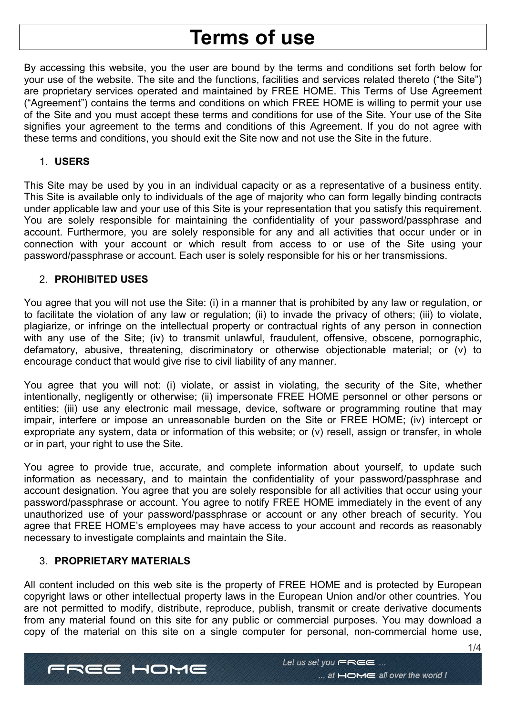# Terms of use

By accessing this website, you the user are bound by the terms and conditions set forth below for your use of the website. The site and the functions, facilities and services related thereto ("the Site") are proprietary services operated and maintained by FREE HOME. This Terms of Use Agreement ("Agreement") contains the terms and conditions on which FREE HOME is willing to permit your use of the Site and you must accept these terms and conditions for use of the Site. Your use of the Site signifies your agreement to the terms and conditions of this Agreement. If you do not agree with these terms and conditions, you should exit the Site now and not use the Site in the future.

## 1. USERS

This Site may be used by you in an individual capacity or as a representative of a business entity. This Site is available only to individuals of the age of majority who can form legally binding contracts under applicable law and your use of this Site is your representation that you satisfy this requirement. You are solely responsible for maintaining the confidentiality of your password/passphrase and account. Furthermore, you are solely responsible for any and all activities that occur under or in connection with your account or which result from access to or use of the Site using your password/passphrase or account. Each user is solely responsible for his or her transmissions.

## 2. PROHIBITED USES

You agree that you will not use the Site: (i) in a manner that is prohibited by any law or regulation, or to facilitate the violation of any law or regulation; (ii) to invade the privacy of others; (iii) to violate, plagiarize, or infringe on the intellectual property or contractual rights of any person in connection with any use of the Site; (iv) to transmit unlawful, fraudulent, offensive, obscene, pornographic, defamatory, abusive, threatening, discriminatory or otherwise objectionable material; or (v) to encourage conduct that would give rise to civil liability of any manner.

You agree that you will not: (i) violate, or assist in violating, the security of the Site, whether intentionally, negligently or otherwise; (ii) impersonate FREE HOME personnel or other persons or entities; (iii) use any electronic mail message, device, software or programming routine that may impair, interfere or impose an unreasonable burden on the Site or FREE HOME; (iv) intercept or expropriate any system, data or information of this website; or (v) resell, assign or transfer, in whole or in part, your right to use the Site.

You agree to provide true, accurate, and complete information about yourself, to update such information as necessary, and to maintain the confidentiality of your password/passphrase and account designation. You agree that you are solely responsible for all activities that occur using your password/passphrase or account. You agree to notify FREE HOME immediately in the event of any unauthorized use of your password/passphrase or account or any other breach of security. You agree that FREE HOME's employees may have access to your account and records as reasonably necessary to investigate complaints and maintain the Site.

# 3. PROPRIETARY MATERIALS

All content included on this web site is the property of FREE HOME and is protected by European copyright laws or other intellectual property laws in the European Union and/or other countries. You are not permitted to modify, distribute, reproduce, publish, transmit or create derivative documents from any material found on this site for any public or commercial purposes. You may download a copy of the material on this site on a single computer for personal, non-commercial home use,



1/4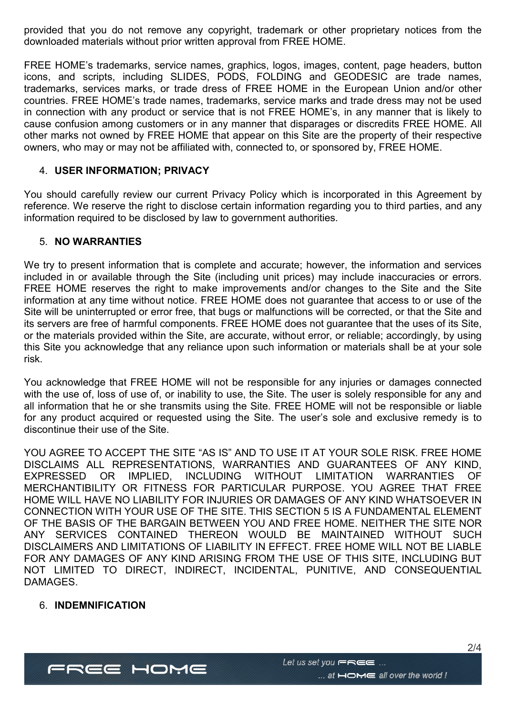provided that you do not remove any copyright, trademark or other proprietary notices from the downloaded materials without prior written approval from FREE HOME.

FREE HOME's trademarks, service names, graphics, logos, images, content, page headers, button icons, and scripts, including SLIDES, PODS, FOLDING and GEODESIC are trade names, trademarks, services marks, or trade dress of FREE HOME in the European Union and/or other countries. FREE HOME's trade names, trademarks, service marks and trade dress may not be used in connection with any product or service that is not FREE HOME's, in any manner that is likely to cause confusion among customers or in any manner that disparages or discredits FREE HOME. All other marks not owned by FREE HOME that appear on this Site are the property of their respective owners, who may or may not be affiliated with, connected to, or sponsored by, FREE HOME.

## 4. USER INFORMATION; PRIVACY

You should carefully review our current Privacy Policy which is incorporated in this Agreement by reference. We reserve the right to disclose certain information regarding you to third parties, and any information required to be disclosed by law to government authorities.

## 5. NO WARRANTIES

We try to present information that is complete and accurate; however, the information and services included in or available through the Site (including unit prices) may include inaccuracies or errors. FREE HOME reserves the right to make improvements and/or changes to the Site and the Site information at any time without notice. FREE HOME does not guarantee that access to or use of the Site will be uninterrupted or error free, that bugs or malfunctions will be corrected, or that the Site and its servers are free of harmful components. FREE HOME does not guarantee that the uses of its Site, or the materials provided within the Site, are accurate, without error, or reliable; accordingly, by using this Site you acknowledge that any reliance upon such information or materials shall be at your sole risk.

You acknowledge that FREE HOME will not be responsible for any injuries or damages connected with the use of, loss of use of, or inability to use, the Site. The user is solely responsible for any and all information that he or she transmits using the Site. FREE HOME will not be responsible or liable for any product acquired or requested using the Site. The user's sole and exclusive remedy is to discontinue their use of the Site.

YOU AGREE TO ACCEPT THE SITE "AS IS" AND TO USE IT AT YOUR SOLE RISK. FREE HOME DISCLAIMS ALL REPRESENTATIONS, WARRANTIES AND GUARANTEES OF ANY KIND, EXPRESSED OR IMPLIED, INCLUDING WITHOUT LIMITATION WARRANTIES OF MERCHANTIBILITY OR FITNESS FOR PARTICULAR PURPOSE. YOU AGREE THAT FREE HOME WILL HAVE NO LIABILITY FOR INJURIES OR DAMAGES OF ANY KIND WHATSOEVER IN CONNECTION WITH YOUR USE OF THE SITE. THIS SECTION 5 IS A FUNDAMENTAL ELEMENT OF THE BASIS OF THE BARGAIN BETWEEN YOU AND FREE HOME. NEITHER THE SITE NOR ANY SERVICES CONTAINED THEREON WOULD BE MAINTAINED WITHOUT SUCH DISCLAIMERS AND LIMITATIONS OF LIABILITY IN EFFECT. FREE HOME WILL NOT BE LIABLE FOR ANY DAMAGES OF ANY KIND ARISING FROM THE USE OF THIS SITE, INCLUDING BUT NOT LIMITED TO DIRECT, INDIRECT, INCIDENTAL, PUNITIVE, AND CONSEQUENTIAL DAMAGES.

## 6. INDEMNIFICATION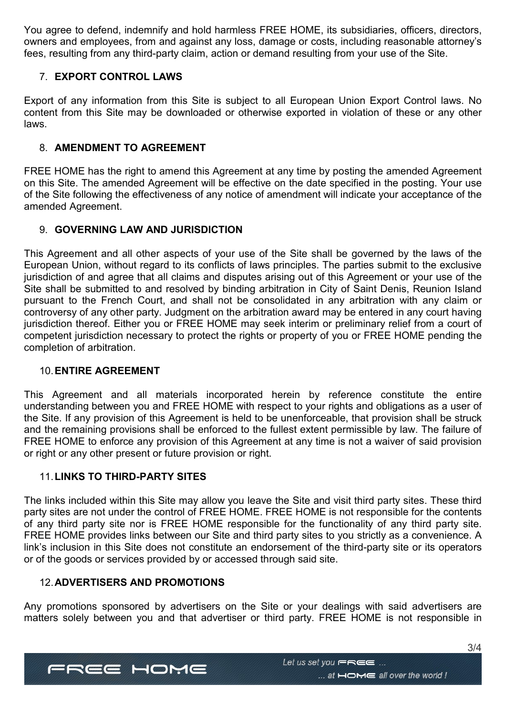You agree to defend, indemnify and hold harmless FREE HOME, its subsidiaries, officers, directors, owners and employees, from and against any loss, damage or costs, including reasonable attorney's fees, resulting from any third-party claim, action or demand resulting from your use of the Site.

# 7. EXPORT CONTROL LAWS

Export of any information from this Site is subject to all European Union Export Control laws. No content from this Site may be downloaded or otherwise exported in violation of these or any other laws.

# 8. AMENDMENT TO AGREEMENT

FREE HOME has the right to amend this Agreement at any time by posting the amended Agreement on this Site. The amended Agreement will be effective on the date specified in the posting. Your use of the Site following the effectiveness of any notice of amendment will indicate your acceptance of the amended Agreement.

# 9. GOVERNING LAW AND JURISDICTION

This Agreement and all other aspects of your use of the Site shall be governed by the laws of the European Union, without regard to its conflicts of laws principles. The parties submit to the exclusive jurisdiction of and agree that all claims and disputes arising out of this Agreement or your use of the Site shall be submitted to and resolved by binding arbitration in City of Saint Denis, Reunion Island pursuant to the French Court, and shall not be consolidated in any arbitration with any claim or controversy of any other party. Judgment on the arbitration award may be entered in any court having jurisdiction thereof. Either you or FREE HOME may seek interim or preliminary relief from a court of competent jurisdiction necessary to protect the rights or property of you or FREE HOME pending the completion of arbitration.

# 10. ENTIRE AGREEMENT

This Agreement and all materials incorporated herein by reference constitute the entire understanding between you and FREE HOME with respect to your rights and obligations as a user of the Site. If any provision of this Agreement is held to be unenforceable, that provision shall be struck and the remaining provisions shall be enforced to the fullest extent permissible by law. The failure of FREE HOME to enforce any provision of this Agreement at any time is not a waiver of said provision or right or any other present or future provision or right.

# 11. LINKS TO THIRD-PARTY SITES

The links included within this Site may allow you leave the Site and visit third party sites. These third party sites are not under the control of FREE HOME. FREE HOME is not responsible for the contents of any third party site nor is FREE HOME responsible for the functionality of any third party site. FREE HOME provides links between our Site and third party sites to you strictly as a convenience. A link's inclusion in this Site does not constitute an endorsement of the third-party site or its operators or of the goods or services provided by or accessed through said site.

# 12. ADVERTISERS AND PROMOTIONS

Any promotions sponsored by advertisers on the Site or your dealings with said advertisers are matters solely between you and that advertiser or third party. FREE HOME is not responsible in